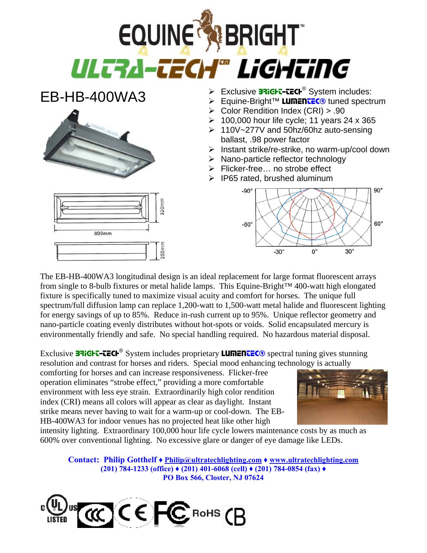

EB-HB-400WA3



890mm

- $\triangleright$  Exclusive **BRIGHT-TECH<sup>®</sup>** System includes:
- ¾ Equine-Bright™ LUMENTEC® tuned spectrum
- ¾ Color Rendition Index (CRI) > .90
- $\geq 100,000$  hour life cycle; 11 years 24 x 365
- ¾ 110V~277V and 50hz/60hz auto-sensing ballast, .98 power factor
- ¾ Instant strike/re-strike, no warm-up/cool down
- $\triangleright$  Nano-particle reflector technology
- ¾ Flicker-free… no strobe effect
- $\triangleright$  IP65 rated, brushed aluminum



The EB-HB-400WA3 longitudinal design is an ideal replacement for large format fluorescent arrays from single to 8-bulb fixtures or metal halide lamps. This Equine-Bright™ 400-watt high elongated fixture is specifically tuned to maximize visual acuity and comfort for horses. The unique full spectrum/full diffusion lamp can replace 1,200-watt to 1,500-watt metal halide and fluorescent lighting for energy savings of up to 85%. Reduce in-rush current up to 95%. Unique reflector geometry and nano-particle coating evenly distributes without hot-spots or voids. Solid encapsulated mercury is environmentally friendly and safe. No special handling required. No hazardous material disposal.

Exclusive  $\overline{\text{B3i}}$ GH $\overline{\text{C}}$ -CECH<sup>®</sup> System includes proprietary **LUMENTEC**<sup>®</sup> spectral tuning gives stunning resolution and contrast for horses and riders. Special mood enhancing technology is actually

comforting for horses and can increase responsiveness. Flicker-free operation eliminates "strobe effect," providing a more comfortable environment with less eye strain. Extraordinarily high color rendition index (CRI) means all colors will appear as clear as daylight. Instant strike means never having to wait for a warm-up or cool-down. The EB-HB-400WA3 for indoor venues has no projected heat like other high

320mm



intensity lighting. Extraordinary 100,000 hour life cycle lowers maintenance costs by as much as 600% over conventional lighting. No excessive glare or danger of eye damage like LEDs.

**Contact: Philip Gotthelf ♦ Philip@ultratechlighting.com ♦ www.ultratechlighting.com (201) 784-1233 (office) ♦ (201) 401-6068 (cell) ♦ (201) 784-0854 (fax) ♦ PO Box 566, Closter, NJ 07624**